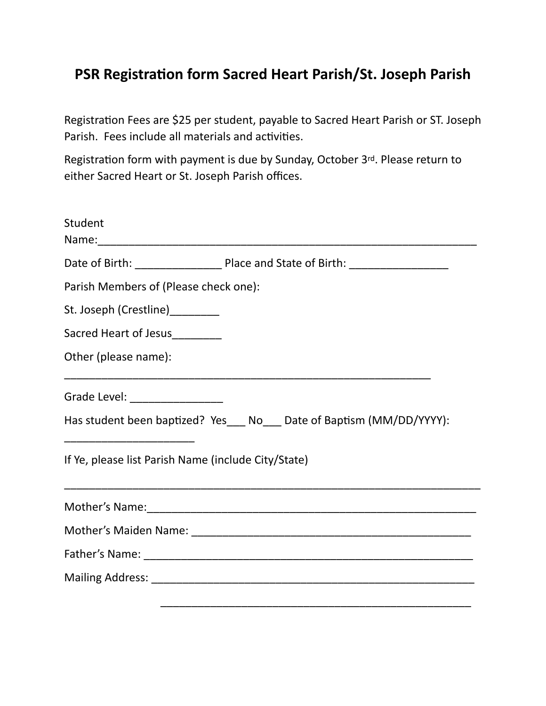## **PSR Registration form Sacred Heart Parish/St. Joseph Parish**

Registration Fees are \$25 per student, payable to Sacred Heart Parish or ST. Joseph Parish. Fees include all materials and activities.

Registration form with payment is due by Sunday, October 3rd. Please return to either Sacred Heart or St. Joseph Parish offices.

| Student                                             |                                                                         |
|-----------------------------------------------------|-------------------------------------------------------------------------|
|                                                     |                                                                         |
| Parish Members of (Please check one):               |                                                                         |
| St. Joseph (Crestline)_________                     |                                                                         |
| Sacred Heart of Jesus________                       |                                                                         |
| Other (please name):                                | <u> 1989 - Johann Stoff, amerikansk politiker (d. 1989)</u>             |
| Grade Level: ________________                       |                                                                         |
|                                                     | Has student been baptized? Yes____ No____ Date of Baptism (MM/DD/YYYY): |
| If Ye, please list Parish Name (include City/State) |                                                                         |
|                                                     |                                                                         |
|                                                     |                                                                         |
|                                                     |                                                                         |
|                                                     |                                                                         |